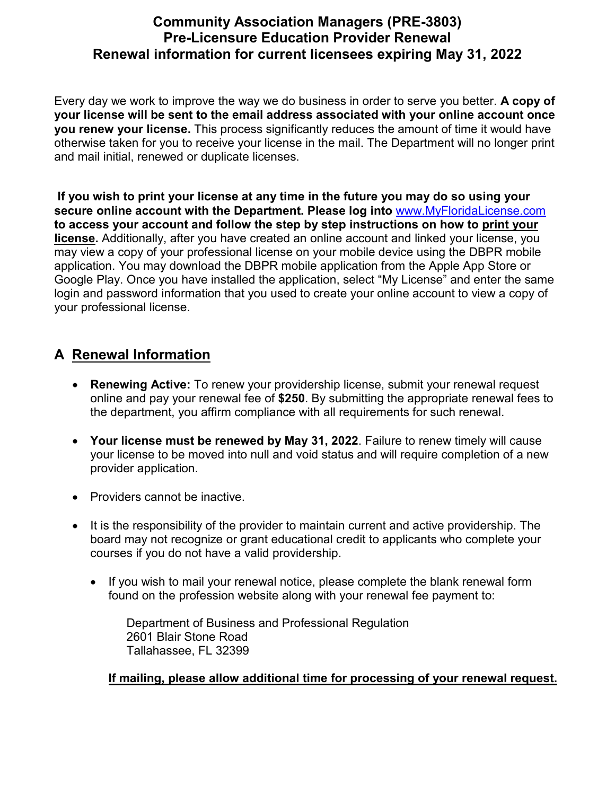## **Community Association Managers (PRE-3803) Pre-Licensure Education Provider Renewal Renewal information for current licensees expiring May 31, 2022**

Every day we work to improve the way we do business in order to serve you better. **A copy of your license will be sent to the email address associated with your online account once you renew your license.** This process significantly reduces the amount of time it would have otherwise taken for you to receive your license in the mail. The Department will no longer print and mail initial, renewed or duplicate licenses.

**If you wish to print your license at any time in the future you may do so using your secure online account with the Department. Please log into** www.MyFloridaLicense.com **to access your account and follow the step by step instructions on how to print your license.** Additionally, after you have created an online account and linked your license, you may view a copy of your professional license on your mobile device using the DBPR mobile application. You may download the DBPR mobile application from the Apple App Store or Google Play. Once you have installed the application, select "My License" and enter the same login and password information that you used to create your online account to view a copy of your professional license.

## **A Renewal Information**

- **Renewing Active:** To renew your providership license, submit your renewal request online and pay your renewal fee of **\$250**. By submitting the appropriate renewal fees to the department, you affirm compliance with all requirements for such renewal.
- **Your license must be renewed by May 31, 2022**. Failure to renew timely will cause your license to be moved into null and void status and will require completion of a new provider application.
- Providers cannot be inactive.
- It is the responsibility of the provider to maintain current and active providership. The board may not recognize or grant educational credit to applicants who complete your courses if you do not have a valid providership.
	- If you wish to mail your renewal notice, please complete the blank renewal form found on the profession website along with your renewal fee payment to:

Department of Business and Professional Regulation 2601 Blair Stone Road Tallahassee, FL 32399

## **If mailing, please allow additional time for processing of your renewal request.**